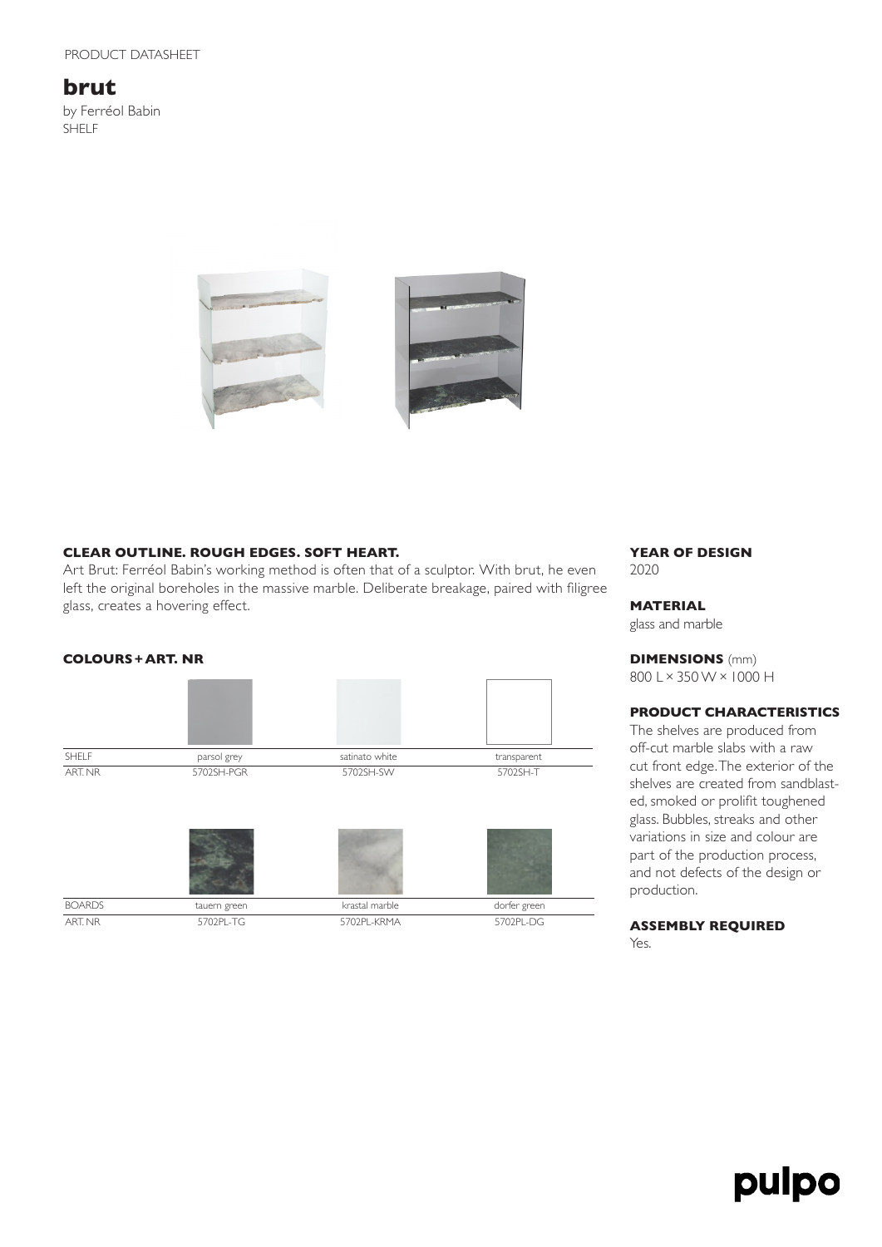# **brut**

by Ferréol Babin SHELF





### **CLEAR OUTLINE. ROUGH EDGES. SOFT HEART.**

Art Brut: Ferréol Babin's working method is often that of a sculptor. With brut, he even left the original boreholes in the massive marble. Deliberate breakage, paired with filigree glass, creates a hovering effect.



#### **YEAR OF DESIGN** 2020

# **MATERIAL**

glass and marble

**DIMENSIONS** (mm) 800 L×350 W×1000 H

## **PRODUCT CHARACTERISTICS**

The shelves are produced from off-cut marble slabs with a raw cut front edge. The exterior of the shelves are created from sandblasted, smoked or prolifit toughened glass. Bubbles, streaks and other variations in size and colour are part of the production process, and not defects of the design or production.

### **ASSEMBLY REQUIRED** Yes.